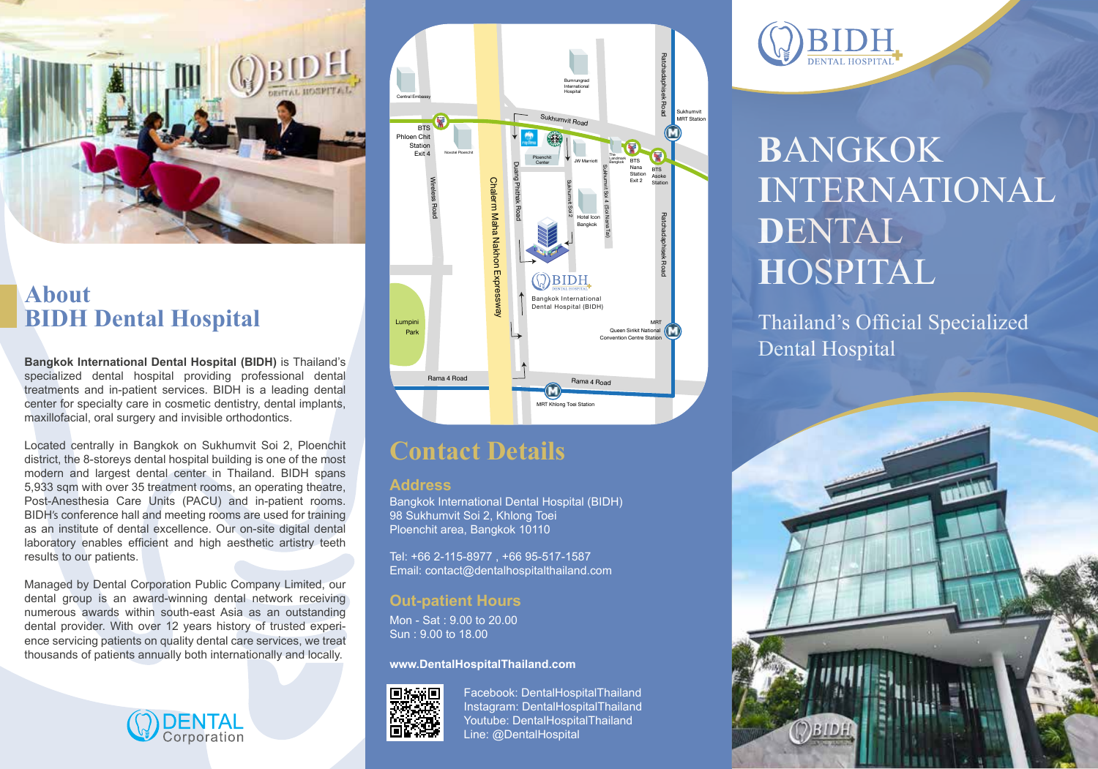

# **About**<br>**BIDH** Dental Hospital

**Bangkok International Dental Hospital (BIDH)** is Thailand's specialized dental hospital providing professional dental treatments and in-patient services. BIDH is a leading dental center for specialty care in cosmetic dentistry, dental implants, maxillofacial, oral surgery and invisible orthodontics.

Located centrally in Bangkok on Sukhumvit Soi 2, Ploenchit district, the 8-storeys dental hospital building is one of the most modern and largest dental center in Thailand. BIDH spans 5,933 sqm with over 35 treatment rooms, an operating theatre, Post-Anesthesia Care Units (PACU) and in-patient rooms. BIDH's conference hall and meeting rooms are used for training as an institute of dental excellence. Our on-site digital dental laboratory enables efficient and high aesthetic artistry teeth results to our patients.

Managed by Dental Corporation Public Company Limited, our dental group is an award-winning dental network receiving numerous awards within south-east Asia as an outstanding dental provider. With over 12 years history of trusted experience servicing patients on quality dental care services, we treat thousands of patients annually both internationally and locally.





### **Contact Details**

### **Address**

Bangkok International Dental Hospital (BIDH) 98 Sukhumvit Soi 2, Khlong Toei Ploenchit area, Bangkok 10110

Tel: +66 2-115-8977 , +66 95-517-1587 Email: contact@dentalhospitalthailand.com

### **Out-patient Hours**

Mon - Sat : 9.00 to 20.00 Sun : 9.00 to 18.00

**www.DentalHospitalThailand.com**



Facebook: DentalHospitalThailand Instagram: DentalHospitalThailand Youtube: DentalHospitalThailand Line: @DentalHospital



## **B**ANGKOK **I**NTERNATIONAL **D**ENTAL **H**OSPITAL

**Thailand's Official Specialized** Dental Hospital